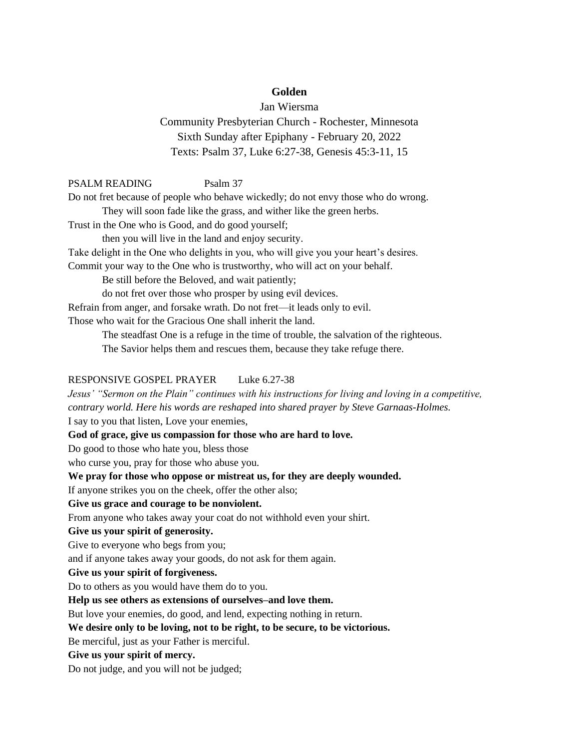# **Golden**

Jan Wiersma Community Presbyterian Church - Rochester, Minnesota Sixth Sunday after Epiphany - February 20, 2022 Texts: Psalm 37, Luke 6:27-38, Genesis 45:3-11, 15

## PSALM READING Psalm 37

Do not fret because of people who behave wickedly; do not envy those who do wrong. They will soon fade like the grass, and wither like the green herbs.

Trust in the One who is Good, and do good yourself;

then you will live in the land and enjoy security.

Take delight in the One who delights in you, who will give you your heart's desires.

Commit your way to the One who is trustworthy, who will act on your behalf.

Be still before the Beloved, and wait patiently;

do not fret over those who prosper by using evil devices.

Refrain from anger, and forsake wrath. Do not fret—it leads only to evil.

Those who wait for the Gracious One shall inherit the land.

The steadfast One is a refuge in the time of trouble, the salvation of the righteous.

The Savior helps them and rescues them, because they take refuge there.

### RESPONSIVE GOSPEL PRAYER Luke 6.27-38

*Jesus' "Sermon on the Plain" continues with his instructions for living and loving in a competitive, contrary world. Here his words are reshaped into shared prayer by Steve Garnaas-Holmes.* I say to you that listen, Love your enemies,

**God of grace, give us compassion for those who are hard to love.**

Do good to those who hate you, bless those

who curse you, pray for those who abuse you.

**We pray for those who oppose or mistreat us, for they are deeply wounded.**

If anyone strikes you on the cheek, offer the other also;

#### **Give us grace and courage to be nonviolent.**

From anyone who takes away your coat do not withhold even your shirt.

#### **Give us your spirit of generosity.**

Give to everyone who begs from you;

and if anyone takes away your goods, do not ask for them again.

## **Give us your spirit of forgiveness.**

Do to others as you would have them do to you.

### **Help us see others as extensions of ourselves–and love them.**

But love your enemies, do good, and lend, expecting nothing in return.

### **We desire only to be loving, not to be right, to be secure, to be victorious.**

Be merciful, just as your Father is merciful.

#### **Give us your spirit of mercy.**

Do not judge, and you will not be judged;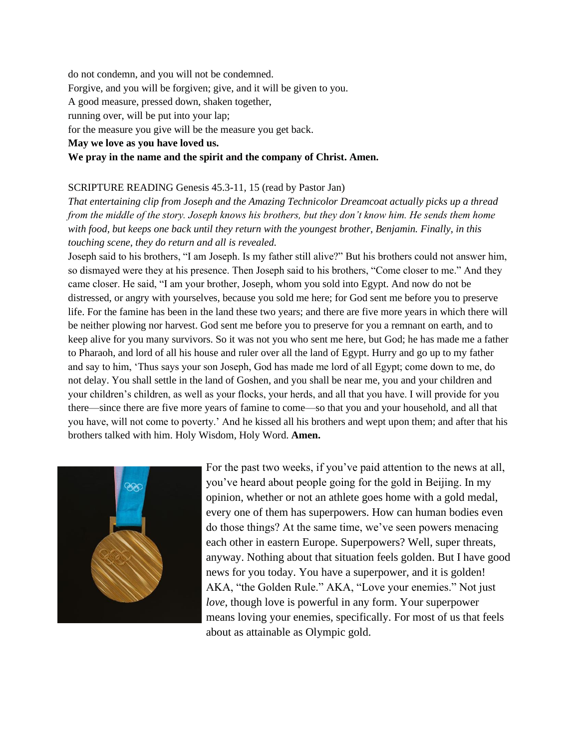do not condemn, and you will not be condemned. Forgive, and you will be forgiven; give, and it will be given to you. A good measure, pressed down, shaken together, running over, will be put into your lap; for the measure you give will be the measure you get back. **May we love as you have loved us. We pray in the name and the spirit and the company of Christ. Amen.**

# SCRIPTURE READING Genesis 45.3-11, 15 (read by Pastor Jan)

*That entertaining clip from Joseph and the Amazing Technicolor Dreamcoat actually picks up a thread from the middle of the story. Joseph knows his brothers, but they don't know him. He sends them home with food, but keeps one back until they return with the youngest brother, Benjamin. Finally, in this touching scene, they do return and all is revealed.* 

Joseph said to his brothers, "I am Joseph. Is my father still alive?" But his brothers could not answer him, so dismayed were they at his presence. Then Joseph said to his brothers, "Come closer to me." And they came closer. He said, "I am your brother, Joseph, whom you sold into Egypt. And now do not be distressed, or angry with yourselves, because you sold me here; for God sent me before you to preserve life. For the famine has been in the land these two years; and there are five more years in which there will be neither plowing nor harvest. God sent me before you to preserve for you a remnant on earth, and to keep alive for you many survivors. So it was not you who sent me here, but God; he has made me a father to Pharaoh, and lord of all his house and ruler over all the land of Egypt. Hurry and go up to my father and say to him, 'Thus says your son Joseph, God has made me lord of all Egypt; come down to me, do not delay. You shall settle in the land of Goshen, and you shall be near me, you and your children and your children's children, as well as your flocks, your herds, and all that you have. I will provide for you there—since there are five more years of famine to come—so that you and your household, and all that you have, will not come to poverty.' And he kissed all his brothers and wept upon them; and after that his brothers talked with him. Holy Wisdom, Holy Word. **Amen.**



For the past two weeks, if you've paid attention to the news at all, you've heard about people going for the gold in Beijing. In my opinion, whether or not an athlete goes home with a gold medal, every one of them has superpowers. How can human bodies even do those things? At the same time, we've seen powers menacing each other in eastern Europe. Superpowers? Well, super threats, anyway. Nothing about that situation feels golden. But I have good news for you today. You have a superpower, and it is golden! AKA, "the Golden Rule." AKA, "Love your enemies." Not just *love*, though love is powerful in any form. Your superpower means loving your enemies, specifically. For most of us that feels about as attainable as Olympic gold.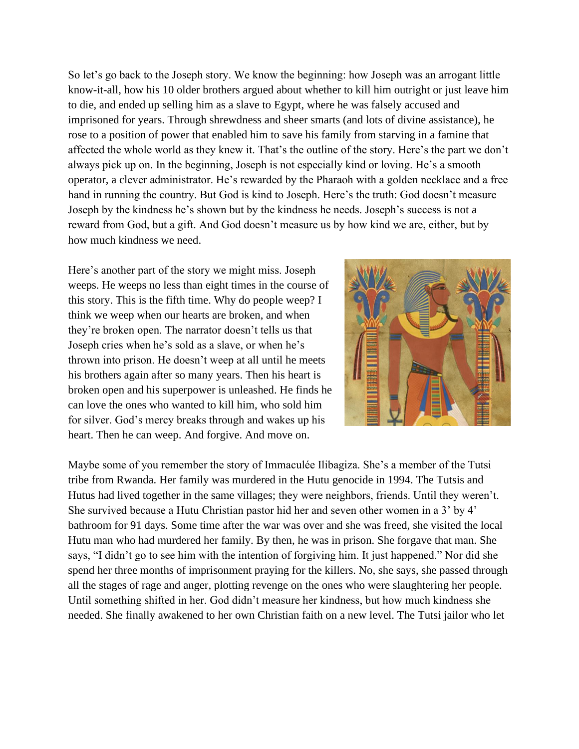So let's go back to the Joseph story. We know the beginning: how Joseph was an arrogant little know-it-all, how his 10 older brothers argued about whether to kill him outright or just leave him to die, and ended up selling him as a slave to Egypt, where he was falsely accused and imprisoned for years. Through shrewdness and sheer smarts (and lots of divine assistance), he rose to a position of power that enabled him to save his family from starving in a famine that affected the whole world as they knew it. That's the outline of the story. Here's the part we don't always pick up on. In the beginning, Joseph is not especially kind or loving. He's a smooth operator, a clever administrator. He's rewarded by the Pharaoh with a golden necklace and a free hand in running the country. But God is kind to Joseph. Here's the truth: God doesn't measure Joseph by the kindness he's shown but by the kindness he needs. Joseph's success is not a reward from God, but a gift. And God doesn't measure us by how kind we are, either, but by how much kindness we need.

Here's another part of the story we might miss. Joseph weeps. He weeps no less than eight times in the course of this story. This is the fifth time. Why do people weep? I think we weep when our hearts are broken, and when they're broken open. The narrator doesn't tells us that Joseph cries when he's sold as a slave, or when he's thrown into prison. He doesn't weep at all until he meets his brothers again after so many years. Then his heart is broken open and his superpower is unleashed. He finds he can love the ones who wanted to kill him, who sold him for silver. God's mercy breaks through and wakes up his heart. Then he can weep. And forgive. And move on.



Maybe some of you remember the story of Immaculée Ilibagiza. She's a member of the Tutsi tribe from Rwanda. Her family was murdered in the Hutu genocide in 1994. The Tutsis and Hutus had lived together in the same villages; they were neighbors, friends. Until they weren't. She survived because a Hutu Christian pastor hid her and seven other women in a 3' by 4' bathroom for 91 days. Some time after the war was over and she was freed, she visited the local Hutu man who had murdered her family. By then, he was in prison. She forgave that man. She says, "I didn't go to see him with the intention of forgiving him. It just happened." Nor did she spend her three months of imprisonment praying for the killers. No, she says, she passed through all the stages of rage and anger, plotting revenge on the ones who were slaughtering her people. Until something shifted in her. God didn't measure her kindness, but how much kindness she needed. She finally awakened to her own Christian faith on a new level. The Tutsi jailor who let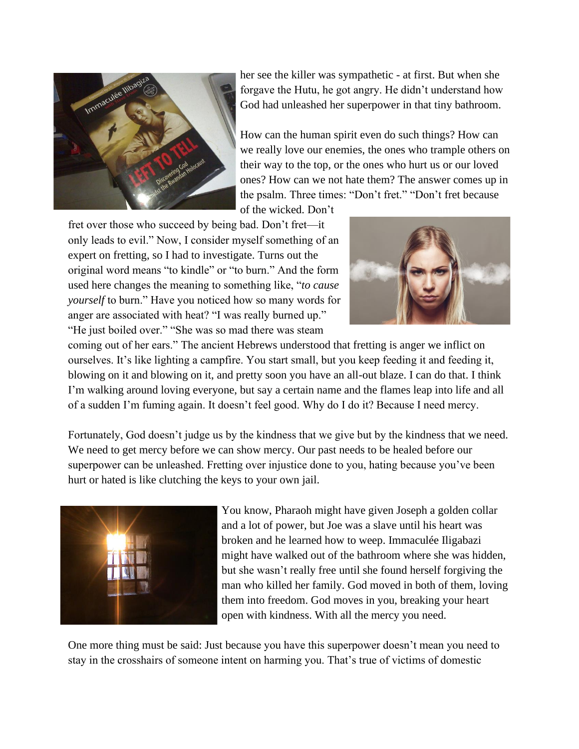

her see the killer was sympathetic - at first. But when she forgave the Hutu, he got angry. He didn't understand how God had unleashed her superpower in that tiny bathroom.

How can the human spirit even do such things? How can we really love our enemies, the ones who trample others on their way to the top, or the ones who hurt us or our loved ones? How can we not hate them? The answer comes up in the psalm. Three times: "Don't fret." "Don't fret because

of the wicked. Don't

fret over those who succeed by being bad. Don't fret—it only leads to evil." Now, I consider myself something of an expert on fretting, so I had to investigate. Turns out the original word means "to kindle" or "to burn." And the form used here changes the meaning to something like, "*to cause yourself* to burn." Have you noticed how so many words for anger are associated with heat? "I was really burned up." "He just boiled over." "She was so mad there was steam



coming out of her ears." The ancient Hebrews understood that fretting is anger we inflict on ourselves. It's like lighting a campfire. You start small, but you keep feeding it and feeding it, blowing on it and blowing on it, and pretty soon you have an all-out blaze. I can do that. I think I'm walking around loving everyone, but say a certain name and the flames leap into life and all of a sudden I'm fuming again. It doesn't feel good. Why do I do it? Because I need mercy.

Fortunately, God doesn't judge us by the kindness that we give but by the kindness that we need. We need to get mercy before we can show mercy. Our past needs to be healed before our superpower can be unleashed. Fretting over injustice done to you, hating because you've been hurt or hated is like clutching the keys to your own jail.



You know, Pharaoh might have given Joseph a golden collar and a lot of power, but Joe was a slave until his heart was broken and he learned how to weep. Immaculée Iligabazi might have walked out of the bathroom where she was hidden, but she wasn't really free until she found herself forgiving the man who killed her family. God moved in both of them, loving them into freedom. God moves in you, breaking your heart open with kindness. With all the mercy you need.

One more thing must be said: Just because you have this superpower doesn't mean you need to stay in the crosshairs of someone intent on harming you. That's true of victims of domestic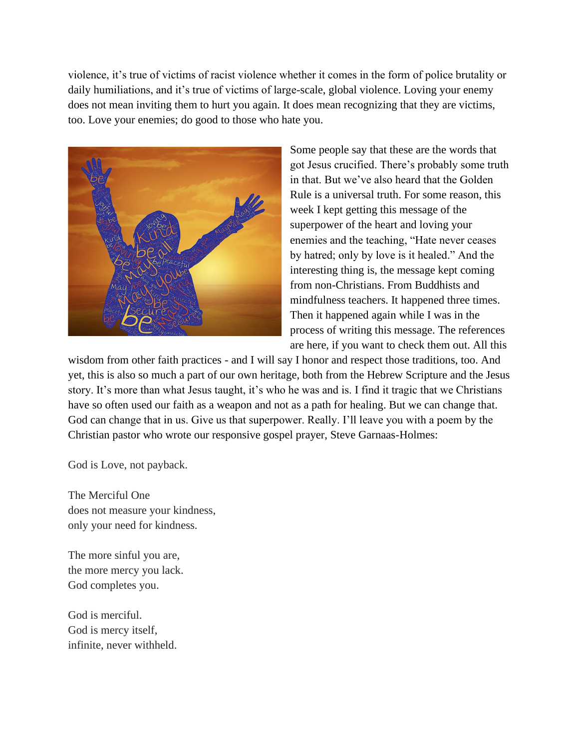violence, it's true of victims of racist violence whether it comes in the form of police brutality or daily humiliations, and it's true of victims of large-scale, global violence. Loving your enemy does not mean inviting them to hurt you again. It does mean recognizing that they are victims, too. Love your enemies; do good to those who hate you.



Some people say that these are the words that got Jesus crucified. There's probably some truth in that. But we've also heard that the Golden Rule is a universal truth. For some reason, this week I kept getting this message of the superpower of the heart and loving your enemies and the teaching, "Hate never ceases by hatred; only by love is it healed." And the interesting thing is, the message kept coming from non-Christians. From Buddhists and mindfulness teachers. It happened three times. Then it happened again while I was in the process of writing this message. The references are here, if you want to check them out. All this

wisdom from other faith practices - and I will say I honor and respect those traditions, too. And yet, this is also so much a part of our own heritage, both from the Hebrew Scripture and the Jesus story. It's more than what Jesus taught, it's who he was and is. I find it tragic that we Christians have so often used our faith as a weapon and not as a path for healing. But we can change that. God can change that in us. Give us that superpower. Really. I'll leave you with a poem by the Christian pastor who wrote our responsive gospel prayer, Steve Garnaas-Holmes:

God is Love, not payback.

The Merciful One does not measure your kindness, only your need for kindness.

The more sinful you are, the more mercy you lack. God completes you.

God is merciful. God is mercy itself, infinite, never withheld.